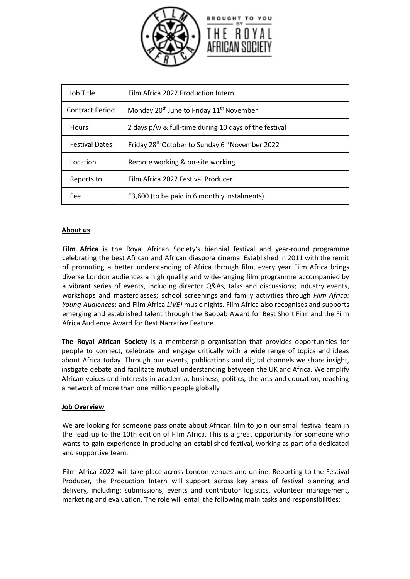

| Job Title             | Film Africa 2022 Production Intern                                      |
|-----------------------|-------------------------------------------------------------------------|
| Contract Period       | Monday 20 <sup>th</sup> June to Friday 11 <sup>th</sup> November        |
| <b>Hours</b>          | 2 days p/w & full-time during 10 days of the festival                   |
| <b>Festival Dates</b> | Friday 28 <sup>th</sup> October to Sunday 6 <sup>th</sup> November 2022 |
| Location              | Remote working & on-site working                                        |
| Reports to            | Film Africa 2022 Festival Producer                                      |
| Fee                   | £3,600 (to be paid in 6 monthly instalments)                            |

## **About us**

**Film Africa** is the Royal African Society's biennial festival and year-round programme celebrating the best African and African diaspora cinema. Established in 2011 with the remit of promoting a better understanding of Africa through film, every year Film Africa brings diverse London audiences a high quality and wide-ranging film programme accompanied by a vibrant series of events, including director Q&As, talks and discussions; industry events, workshops and masterclasses; school screenings and family activities through *Film Africa: Young Audiences*; and Film Africa *LIVE!* music nights. Film Africa also recognises and supports emerging and established talent through the Baobab Award for Best Short Film and the Film Africa Audience Award for Best Narrative Feature.

**The Royal African Society** is a membership organisation that provides opportunities for people to connect, celebrate and engage critically with a wide range of topics and ideas about Africa today. Through our events, publications and digital channels we share insight, instigate debate and facilitate mutual understanding between the UK and Africa. We amplify African voices and interests in academia, business, politics, the arts and education, reaching a network of more than one million people globally.

### **Job Overview**

We are looking for someone passionate about African film to join our small festival team in the lead up to the 10th edition of Film Africa. This is a great opportunity for someone who wants to gain experience in producing an established festival, working as part of a dedicated and supportive team.

Film Africa 2022 will take place across London venues and online. Reporting to the Festival Producer, the Production Intern will support across key areas of festival planning and delivery, including: submissions, events and contributor logistics, volunteer management, marketing and evaluation. The role will entail the following main tasks and responsibilities: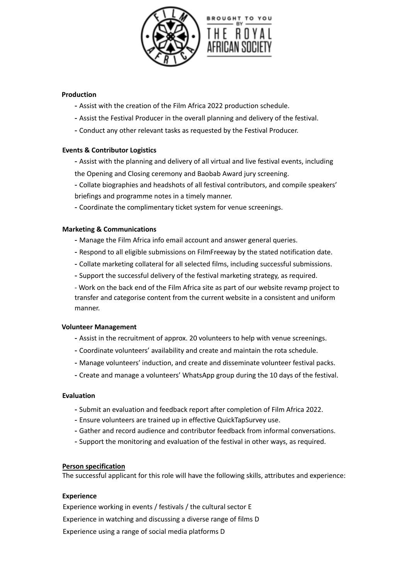



# **Production**

- Assist with the creation of the Film Africa 2022 production schedule.
- Assist the Festival Producer in the overall planning and delivery of the festival.
- Conduct any other relevant tasks as requested by the Festival Producer.

## **Events & Contributor Logistics**

- Assist with the planning and delivery of all virtual and live festival events, including the Opening and Closing ceremony and Baobab Award jury screening.

- Collate biographies and headshots of all festival contributors, and compile speakers' briefings and programme notes in a timely manner.

- Coordinate the complimentary ticket system for venue screenings.

### **Marketing & Communications**

- Manage the Film Africa info email account and answer general queries.
- Respond to all eligible submissions on FilmFreeway by the stated notification date.
- Collate marketing collateral for all selected films, including successful submissions.
- Support the successful delivery of the festival marketing strategy, as required.

- Work on the back end of the Film Africa site as part of our website revamp project to transfer and categorise content from the current website in a consistent and uniform manner.

### **Volunteer Management**

- Assist in the recruitment of approx. 20 volunteers to help with venue screenings.
- Coordinate volunteers' availability and create and maintain the rota schedule.
- Manage volunteers' induction, and create and disseminate volunteer festival packs.
- Create and manage a volunteers' WhatsApp group during the 10 days of the festival.

### **Evaluation**

- Submit an evaluation and feedback report after completion of Film Africa 2022.
- Ensure volunteers are trained up in effective QuickTapSurvey use.
- Gather and record audience and contributor feedback from informal conversations.
- Support the monitoring and evaluation of the festival in other ways, as required.

### **Person specification**

The successful applicant for this role will have the following skills, attributes and experience:

### **Experience**

Experience working in events / festivals / the cultural sector E Experience in watching and discussing a diverse range of films D Experience using a range of social media platforms D